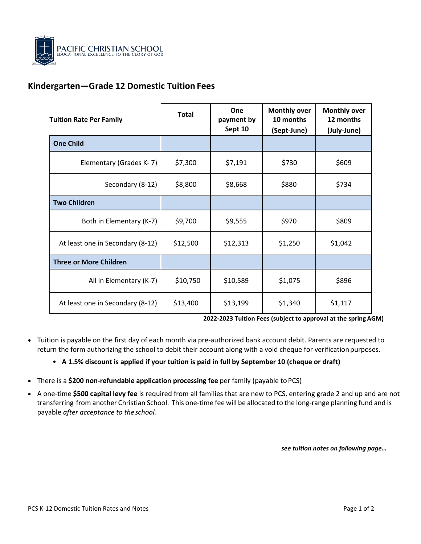

## **Kindergarten—Grade 12 Domestic Tuition Fees**

| <b>Tuition Rate Per Family</b>   | <b>Total</b> | One<br>payment by<br>Sept 10 | <b>Monthly over</b><br>10 months<br>(Sept-June) | <b>Monthly over</b><br>12 months<br>(July-June) |
|----------------------------------|--------------|------------------------------|-------------------------------------------------|-------------------------------------------------|
| <b>One Child</b>                 |              |                              |                                                 |                                                 |
| Elementary (Grades K-7)          | \$7,300      | \$7,191                      | \$730                                           | \$609                                           |
| Secondary (8-12)                 | \$8,800      | \$8,668                      | \$880                                           | \$734                                           |
| <b>Two Children</b>              |              |                              |                                                 |                                                 |
| Both in Elementary (K-7)         | \$9,700      | \$9,555                      | \$970                                           | \$809                                           |
| At least one in Secondary (8-12) | \$12,500     | \$12,313                     | \$1,250                                         | \$1,042                                         |
| <b>Three or More Children</b>    |              |                              |                                                 |                                                 |
| All in Elementary (K-7)          | \$10,750     | \$10,589                     | \$1,075                                         | \$896                                           |
| At least one in Secondary (8-12) | \$13,400     | \$13,199                     | \$1,340                                         | \$1,117                                         |

**2022-2023 Tuition Fees (subject to approval at the spring AGM)** 

- Tuition is payable on the first day of each month via pre-authorized bank account debit. Parents are requested to return the form authorizing the school to debit their account along with a void cheque for verification purposes.
	- **A 1.5% discount is applied if your tuition is paid in full by September 10 (cheque or draft)**
- There is a **\$200 non-refundable application processing fee** per family (payable toPCS)
- A one-time **\$500 capital levy fee** is required from all families that are new to PCS, entering grade 2 and up and are not transferring from another Christian School. This one-time fee will be allocated to the long-range planning fund and is payable *after acceptance to theschool.*

*see tuition notes on following page…*